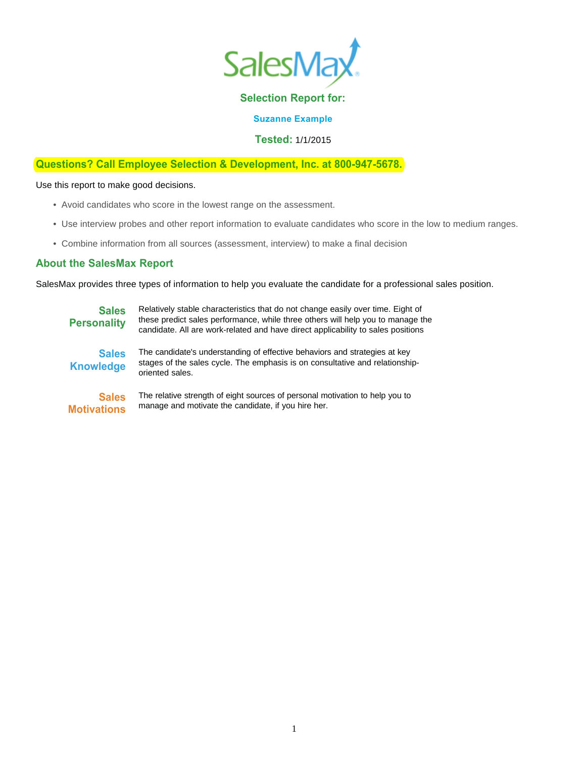

# **Selection Report for:**

**Suzanne Example**

**Tested:** 1/1/2015

## **Questions? Call Employee Selection & Development, Inc. at 800-947-5678.**

Use this report to make good decisions.

- Avoid candidates who score in the lowest range on the assessment.
- Use interview probes and other report information to evaluate candidates who score in the low to medium ranges.
- Combine information from all sources (assessment, interview) to make a final decision

## **About the SalesMax Report**

SalesMax provides three types of information to help you evaluate the candidate for a professional sales position.

**Sales Personality Sales Knowledge**

Relatively stable characteristics that do not change easily over time. Eight of these predict sales performance, while three others will help you to manage the candidate. All are work-related and have direct applicability to sales positions

The candidate's understanding of effective behaviors and strategies at key

stages of the sales cycle. The emphasis is on consultative and relationshiporiented sales.

**Sales Motivations** The relative strength of eight sources of personal motivation to help you to manage and motivate the candidate, if you hire her.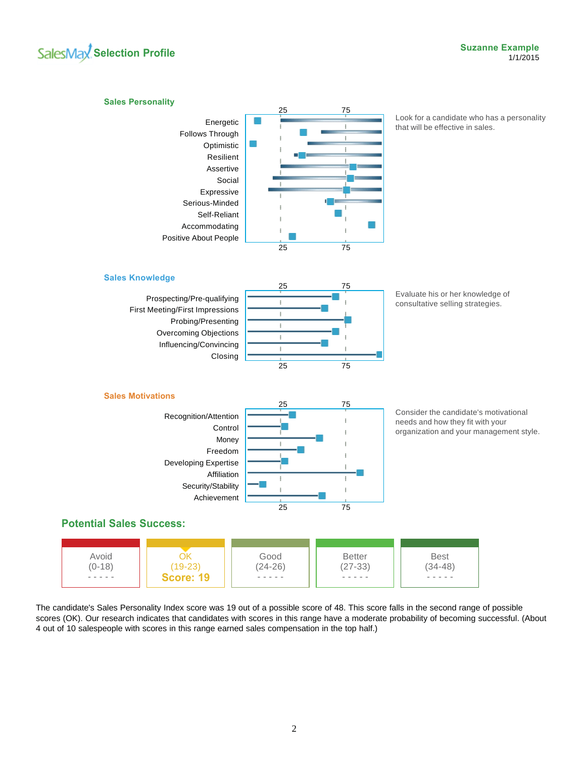# **SalesMax** Selection Profile



The candidate's Sales Personality Index score was 19 out of a possible score of 48. This score falls in the second range of possible scores (OK). Our research indicates that candidates with scores in this range have a moderate probability of becoming successful. (About 4 out of 10 salespeople with scores in this range earned sales compensation in the top half.)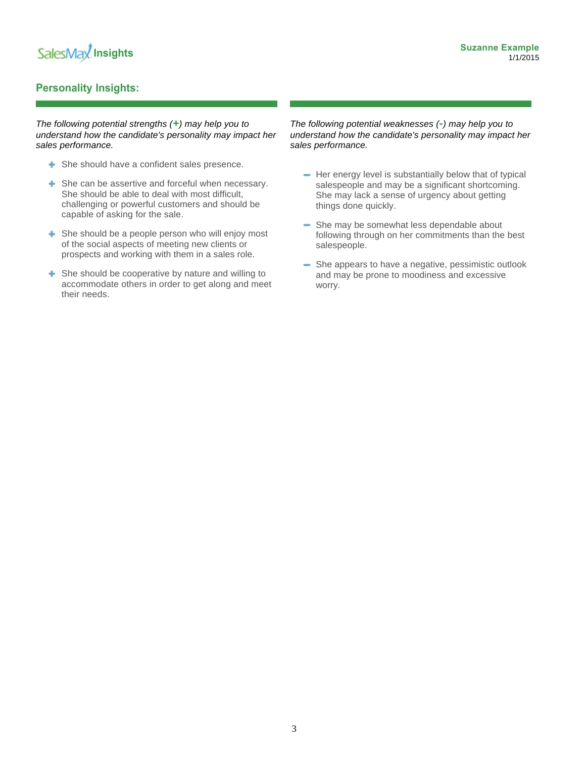# **Personality Insights:**

*The following potential strengths (+) may help you to understand how the candidate's personality may impact her sales performance.*

- **+** She should have a confident sales presence.
- **+** She can be assertive and forceful when necessary. She should be able to deal with most difficult, challenging or powerful customers and should be capable of asking for the sale.
- **She should be a people person who will enjoy most** of the social aspects of meeting new clients or prospects and working with them in a sales role.
- **E** She should be cooperative by nature and willing to accommodate others in order to get along and meet their needs.

*The following potential weaknesses (-) may help you to understand how the candidate's personality may impact her sales performance.*

- $-$  Her energy level is substantially below that of typical salespeople and may be a significant shortcoming. She may lack a sense of urgency about getting things done quickly.
- She may be somewhat less dependable about following through on her commitments than the best salespeople.
- She appears to have a negative, pessimistic outlook and may be prone to moodiness and excessive worry.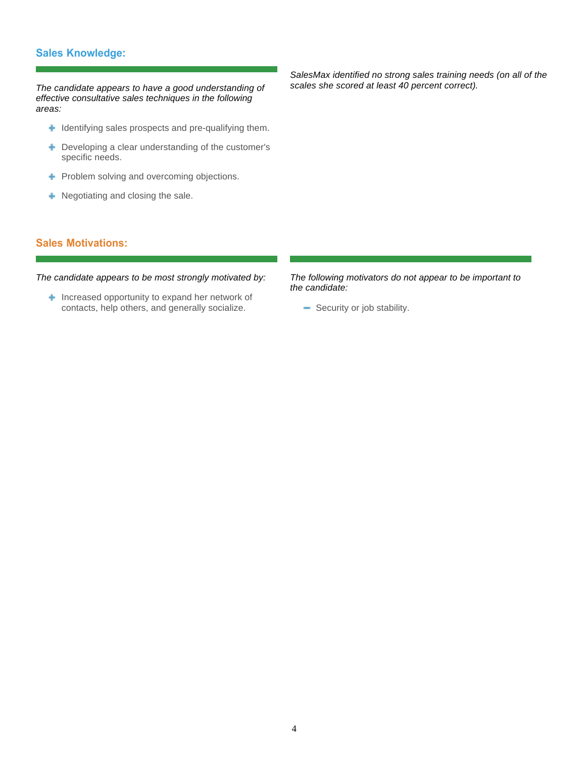# **Sales Knowledge:**

*The candidate appears to have a good understanding of effective consultative sales techniques in the following areas:*

- $\blacksquare$  Identifying sales prospects and pre-qualifying them.
- + Developing a clear understanding of the customer's specific needs.
- **+** Problem solving and overcoming objections.
- **+** Negotiating and closing the sale.

*SalesMax identified no strong sales training needs (on all of the scales she scored at least 40 percent correct).*

# **Sales Motivations:**

*The candidate appears to be most strongly motivated by:*

**Increased opportunity to expand her network of** contacts, help others, and generally socialize.

*The following motivators do not appear to be important to the candidate:*

- Security or job stability.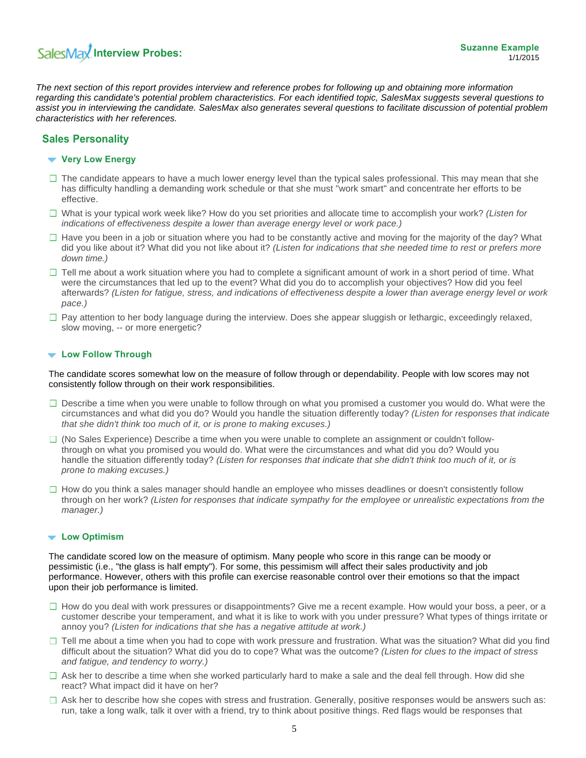# **SalesMax Interview Probes:**

*The next section of this report provides interview and reference probes for following up and obtaining more information regarding this candidate's potential problem characteristics. For each identified topic, SalesMax suggests several questions to assist you in interviewing the candidate. SalesMax also generates several questions to facilitate discussion of potential problem characteristics with her references.*

## **Sales Personality**

#### **Very Low Energy**

- $\Box$  The candidate appears to have a much lower energy level than the typical sales professional. This may mean that she has difficulty handling a demanding work schedule or that she must "work smart" and concentrate her efforts to be effective.
- What is your typical work week like? How do you set priorities and allocate time to accomplish your work? *(Listen for indications of effectiveness despite a lower than average energy level or work pace.)*
- $\Box$  Have you been in a job or situation where you had to be constantly active and moving for the majority of the day? What did you like about it? What did you not like about it? *(Listen for indications that she needed time to rest or prefers more down time.)*
- $\Box$  Tell me about a work situation where you had to complete a significant amount of work in a short period of time. What were the circumstances that led up to the event? What did you do to accomplish your objectives? How did you feel afterwards? *(Listen for fatigue, stress, and indications of effectiveness despite a lower than average energy level or work pace.)*
- $\Box$  Pay attention to her body language during the interview. Does she appear sluggish or lethargic, exceedingly relaxed, slow moving, -- or more energetic?

### **Low Follow Through**

The candidate scores somewhat low on the measure of follow through or dependability. People with low scores may not consistently follow through on their work responsibilities.

- $\Box$  Describe a time when you were unable to follow through on what you promised a customer you would do. What were the circumstances and what did you do? Would you handle the situation differently today? *(Listen for responses that indicate that she didn't think too much of it, or is prone to making excuses.)*
- $\Box$  (No Sales Experience) Describe a time when you were unable to complete an assignment or couldn't followthrough on what you promised you would do. What were the circumstances and what did you do? Would you handle the situation differently today? *(Listen for responses that indicate that she didn't think too much of it, or is prone to making excuses.)*
- $\Box$  How do you think a sales manager should handle an employee who misses deadlines or doesn't consistently follow through on her work? *(Listen for responses that indicate sympathy for the employee or unrealistic expectations from the manager.)*

## **Low Optimism**

The candidate scored low on the measure of optimism. Many people who score in this range can be moody or pessimistic (i.e., "the glass is half empty"). For some, this pessimism will affect their sales productivity and job performance. However, others with this profile can exercise reasonable control over their emotions so that the impact upon their job performance is limited.

- $\Box$  How do you deal with work pressures or disappointments? Give me a recent example. How would your boss, a peer, or a customer describe your temperament, and what it is like to work with you under pressure? What types of things irritate or annoy you? *(Listen for indications that she has a negative attitude at work.)*
- $\Box$  Tell me about a time when you had to cope with work pressure and frustration. What was the situation? What did you find difficult about the situation? What did you do to cope? What was the outcome? *(Listen for clues to the impact of stress and fatigue, and tendency to worry.)*
- $\Box$  Ask her to describe a time when she worked particularly hard to make a sale and the deal fell through. How did she react? What impact did it have on her?
- $\Box$  Ask her to describe how she copes with stress and frustration. Generally, positive responses would be answers such as: run, take a long walk, talk it over with a friend, try to think about positive things. Red flags would be responses that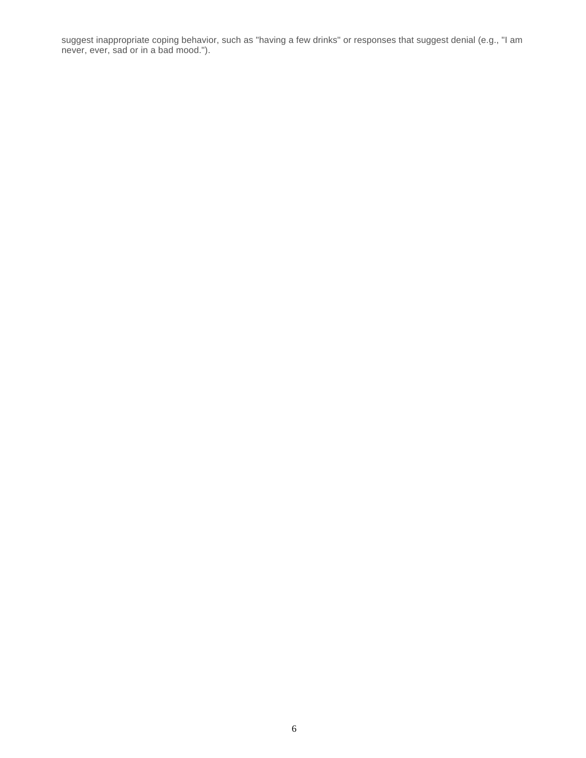suggest inappropriate coping behavior, such as "having a few drinks" or responses that suggest denial (e.g., "I am never, ever, sad or in a bad mood.").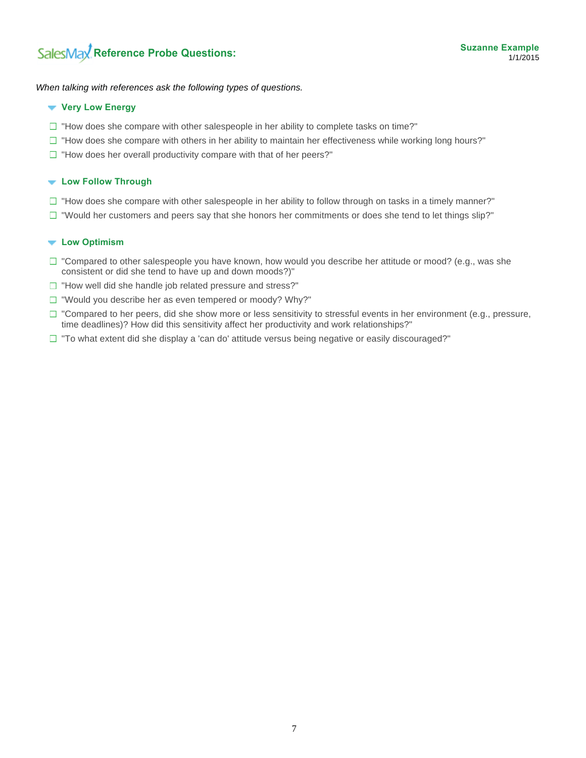*When talking with references ask the following types of questions.*

#### **Very Low Energy**

- $\Box$  "How does she compare with other salespeople in her ability to complete tasks on time?"
- $\Box$  "How does she compare with others in her ability to maintain her effectiveness while working long hours?"
- $\Box$  "How does her overall productivity compare with that of her peers?"

#### **Low Follow Through**

- $\Box$  "How does she compare with other salespeople in her ability to follow through on tasks in a timely manner?"
- $\Box$  "Would her customers and peers say that she honors her commitments or does she tend to let things slip?"

#### **Low Optimism**

- $\Box$  "Compared to other salespeople you have known, how would you describe her attitude or mood? (e.g., was she consistent or did she tend to have up and down moods?)"
- $\Box$  "How well did she handle job related pressure and stress?"
- $\Box$  "Would you describe her as even tempered or moody? Why?"
- $\Box$  "Compared to her peers, did she show more or less sensitivity to stressful events in her environment (e.g., pressure, time deadlines)? How did this sensitivity affect her productivity and work relationships?"
- $\Box$  "To what extent did she display a 'can do' attitude versus being negative or easily discouraged?"